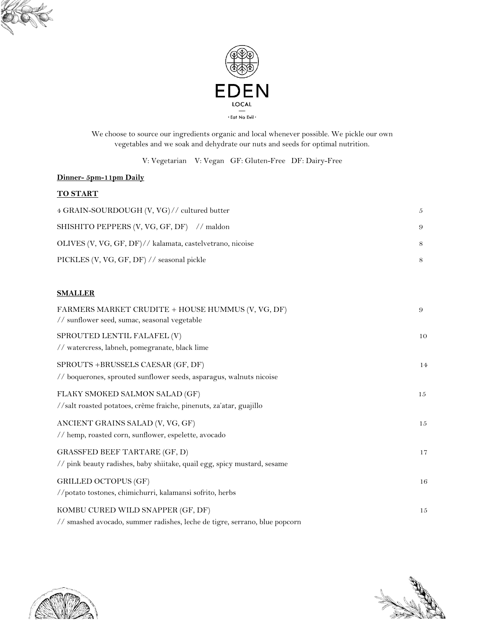



We choose to source our ingredients organic and local whenever possible. We pickle our own vegetables and we soak and dehydrate our nuts and seeds for optimal nutrition.

V: Vegetarian V: Vegan GF: Gluten-Free DF: Dairy-Free

## **Dinner- 5pm-11pm Daily**

#### **TO START**

| 4 GRAIN-SOURDOUGH (V, VG)// cultured butter               | 5 |
|-----------------------------------------------------------|---|
| SHISHITO PEPPERS (V, VG, GF, DF) // maldon                | 9 |
| OLIVES (V, VG, GF, DF)// kalamata, castelvetrano, nicoise | 8 |
| PICKLES (V, VG, GF, DF) // seasonal pickle                | 8 |

### **SMALLER**

| FARMERS MARKET CRUDITE + HOUSE HUMMUS (V, VG, DF)<br>// sunflower seed, sumac, seasonal vegetable                | 9  |
|------------------------------------------------------------------------------------------------------------------|----|
| SPROUTED LENTIL FALAFEL (V)<br>// watercress, labneh, pomegranate, black lime                                    | 10 |
| SPROUTS +BRUSSELS CAESAR (GF, DF)<br>// boquerones, sprouted sunflower seeds, asparagus, walnuts nicoise         | 14 |
| FLAKY SMOKED SALMON SALAD (GF)<br>//salt roasted potatoes, crème fraiche, pinenuts, za'atar, guajillo            | 15 |
| ANCIENT GRAINS SALAD (V, VG, GF)<br>// hemp, roasted corn, sunflower, espelette, avocado                         | 15 |
| <b>GRASSFED BEEF TARTARE (GF, D)</b><br>// pink beauty radishes, baby shiitake, quail egg, spicy mustard, sesame | 17 |
| GRILLED OCTOPUS (GF)<br>//potato tostones, chimichurri, kalamansi sofrito, herbs                                 | 16 |
| KOMBU CURED WILD SNAPPER (GF, DF)<br>// smashed avocado, summer radishes, leche de tigre, serrano, blue popcorn  | 15 |



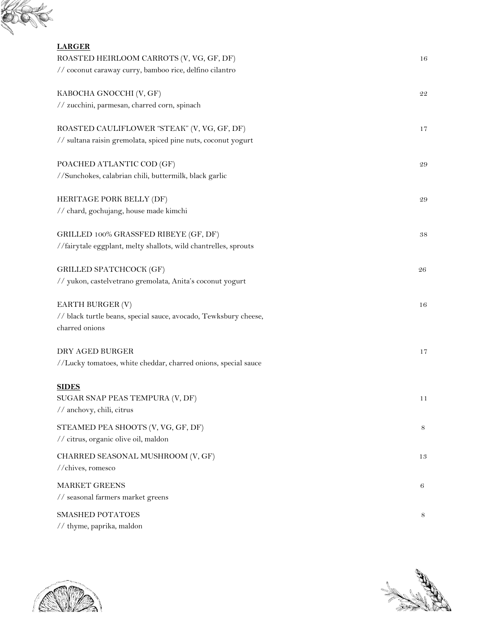

| <b>LARGER</b>                                                    |           |
|------------------------------------------------------------------|-----------|
| ROASTED HEIRLOOM CARROTS (V, VG, GF, DF)                         | 16        |
| // coconut caraway curry, bamboo rice, delfino cilantro          |           |
| KABOCHA GNOCCHI (V, GF)                                          | 22        |
| // zucchini, parmesan, charred corn, spinach                     |           |
| ROASTED CAULIFLOWER "STEAK" (V, VG, GF, DF)                      | 17        |
| // sultana raisin gremolata, spiced pine nuts, coconut yogurt    |           |
| POACHED ATLANTIC COD (GF)                                        | 29        |
| //Sunchokes, calabrian chili, buttermilk, black garlic           |           |
| HERITAGE PORK BELLY (DF)                                         | 29        |
| // chard, gochujang, house made kimchi                           |           |
| GRILLED 100% GRASSFED RIBEYE (GF, DF)                            | $\bf{38}$ |
| //fairytale eggplant, melty shallots, wild chantrelles, sprouts  |           |
| GRILLED SPATCHCOCK (GF)                                          | 26        |
| // yukon, castelvetrano gremolata, Anita's coconut yogurt        |           |
| EARTH BURGER (V)                                                 | 16        |
| // black turtle beans, special sauce, avocado, Tewksbury cheese, |           |
| charred onions                                                   |           |
| DRY AGED BURGER                                                  | 17        |
| //Lucky tomatoes, white cheddar, charred onions, special sauce   |           |
| <b>SIDES</b>                                                     |           |
| SUGAR SNAP PEAS TEMPURA (V, DF)                                  | 11        |
| // anchovy, chili, citrus                                        |           |
| STEAMED PEA SHOOTS (V, VG, GF, DF)                               | 8         |
| // citrus, organic olive oil, maldon                             |           |
| CHARRED SEASONAL MUSHROOM (V, GF)                                | 13        |
| //chives, romesco                                                |           |
| <b>MARKET GREENS</b>                                             | 6         |
| // seasonal farmers market greens                                |           |
| SMASHED POTATOES                                                 | 8         |
| // thyme, paprika, maldon                                        |           |



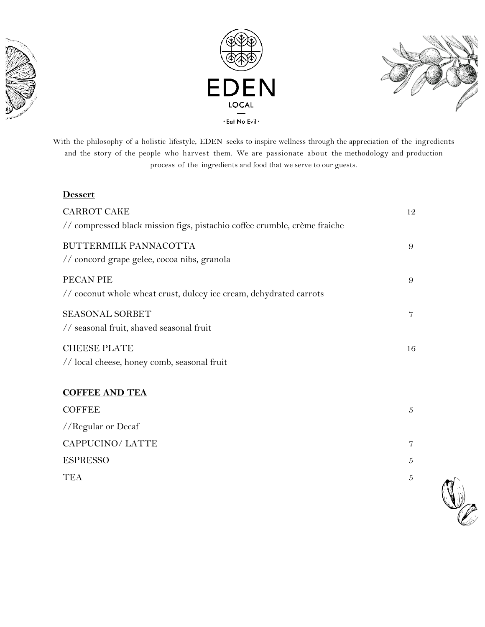





With the philosophy of a holistic lifestyle, EDEN seeks to inspire wellness through the appreciation of the ingredients and the story of the people who harvest them. We are passionate about the methodology and production process of the ingredients and food that we serve to our guests.

## **Dessert**

| <b>CARROT CAKE</b><br>// compressed black mission figs, pistachio coffee crumble, crème fraiche | 12       |
|-------------------------------------------------------------------------------------------------|----------|
| BUTTERMILK PANNACOTTA<br>// concord grape gelee, cocoa nibs, granola                            | 9        |
| PECAN PIE<br>// coconut whole wheat crust, dulcey ice cream, dehydrated carrots                 | $\Omega$ |
| <b>SEASONAL SORBET</b><br>// seasonal fruit, shaved seasonal fruit                              | 7        |
| <b>CHEESE PLATE</b><br>// local cheese, honey comb, seasonal fruit                              | 16       |

# **COFFEE AND TEA**

| <b>COFFEE</b>      | 5 |
|--------------------|---|
| //Regular or Decaf |   |
| CAPPUCINO/LATTE    |   |
| <b>ESPRESSO</b>    | 5 |
| TEA                | 5 |
|                    |   |

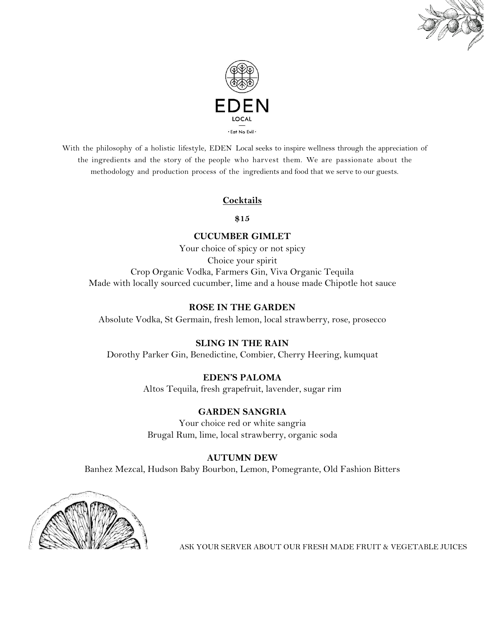



With the philosophy of a holistic lifestyle, EDEN Local seeks to inspire wellness through the appreciation of the ingredients and the story of the people who harvest them. We are passionate about the methodology and production process of the ingredients and food that we serve to our guests.

## **Cocktails**

#### **\$15**

### **CUCUMBER GIMLET**

Your choice of spicy or not spicy

Choice your spirit Crop Organic Vodka, Farmers Gin, Viva Organic Tequila Made with locally sourced cucumber, lime and a house made Chipotle hot sauce

#### **ROSE IN THE GARDEN**

Absolute Vodka, St Germain, fresh lemon, local strawberry, rose, prosecco

#### **SLING IN THE RAIN**

Dorothy Parker Gin, Benedictine, Combier, Cherry Heering, kumquat

## **EDEN'S PALOMA**

Altos Tequila, fresh grapefruit, lavender, sugar rim

#### **GARDEN SANGRIA**

Your choice red or white sangria Brugal Rum, lime, local strawberry, organic soda

#### **AUTUMN DEW**

Banhez Mezcal, Hudson Baby Bourbon, Lemon, Pomegrante, Old Fashion Bitters



ASK YOUR SERVER ABOUT OUR FRESH MADE FRUIT & VEGETABLE JUICES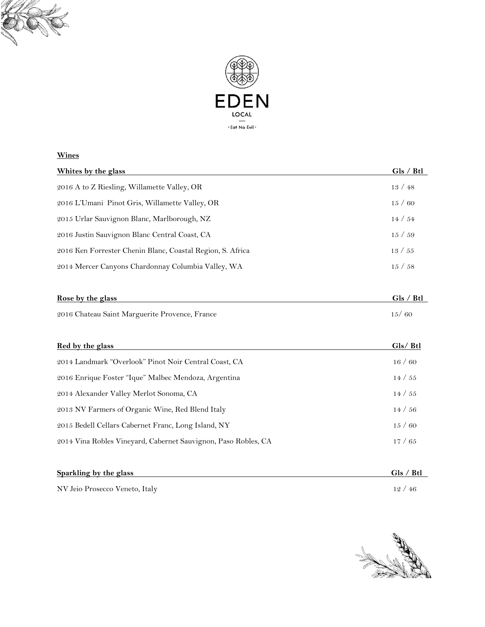



## **Wines**

| Whites by the glass                                        | Gls / Btl |
|------------------------------------------------------------|-----------|
| 2016 A to Z Riesling, Willamette Valley, OR                | 13/48     |
| 2016 L'Umani Pinot Gris, Willamette Valley, OR             | 15/60     |
| 2015 Urlar Sauvignon Blanc, Marlborough, NZ                | 14 / 54   |
| 2016 Justin Sauvignon Blanc Central Coast, CA              | 15/59     |
| 2016 Ken Forrester Chenin Blanc, Coastal Region, S. Africa | 13/55     |
| 2014 Mercer Canyons Chardonnay Columbia Valley, WA         | 15/58     |
|                                                            |           |

| Rose by the glass                              | Gls / Btl |
|------------------------------------------------|-----------|
| 2016 Chateau Saint Marguerite Provence, France | 15/60     |
|                                                |           |

| Red by the glass                                               | Gls/ Btl |
|----------------------------------------------------------------|----------|
| 2014 Landmark "Overlook" Pinot Noir Central Coast, CA          | 16/60    |
| 2016 Enrique Foster "Ique" Malbec Mendoza, Argentina           | 14 / 55  |
| 2014 Alexander Valley Merlot Sonoma, CA                        | 14 / 55  |
| 2013 NV Farmers of Organic Wine, Red Blend Italy               | 14/56    |
| 2015 Bedell Cellars Cabernet Franc, Long Island, NY            | 15/60    |
| 2014 Vina Robles Vineyard, Cabernet Sauvignon, Paso Robles, CA | 17/65    |
|                                                                |          |

| Sparkling by the glass         | Gls / Btl |
|--------------------------------|-----------|
| NV Jeio Prosecco Veneto, Italy | 12/46     |